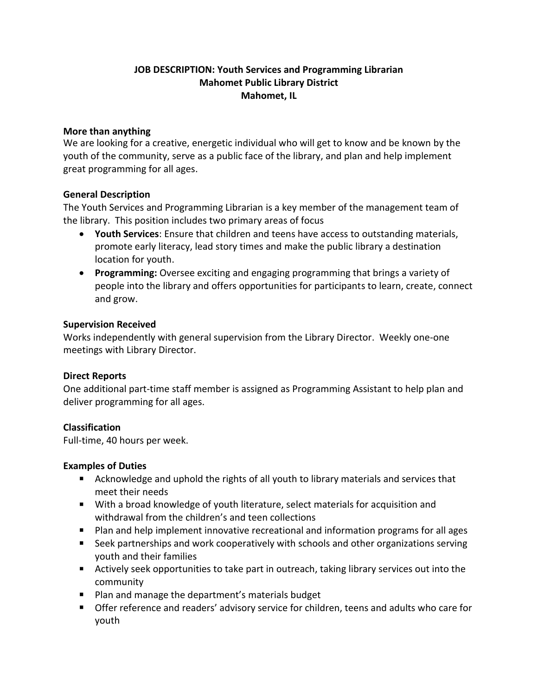# **JOB DESCRIPTION: Youth Services and Programming Librarian Mahomet Public Library District Mahomet, IL**

### **More than anything**

We are looking for a creative, energetic individual who will get to know and be known by the youth of the community, serve as a public face of the library, and plan and help implement great programming for all ages.

### **General Description**

The Youth Services and Programming Librarian is a key member of the management team of the library. This position includes two primary areas of focus

- **Youth Services**: Ensure that children and teens have access to outstanding materials, promote early literacy, lead story times and make the public library a destination location for youth.
- **Programming:** Oversee exciting and engaging programming that brings a variety of people into the library and offers opportunities for participants to learn, create, connect and grow.

### **Supervision Received**

Works independently with general supervision from the Library Director. Weekly one-one meetings with Library Director.

### **Direct Reports**

One additional part-time staff member is assigned as Programming Assistant to help plan and deliver programming for all ages.

### **Classification**

Full-time, 40 hours per week.

### **Examples of Duties**

- Acknowledge and uphold the rights of all youth to library materials and services that meet their needs
- With a broad knowledge of youth literature, select materials for acquisition and withdrawal from the children's and teen collections
- Plan and help implement innovative recreational and information programs for all ages
- Seek partnerships and work cooperatively with schools and other organizations serving youth and their families
- Actively seek opportunities to take part in outreach, taking library services out into the community
- Plan and manage the department's materials budget
- Offer reference and readers' advisory service for children, teens and adults who care for youth